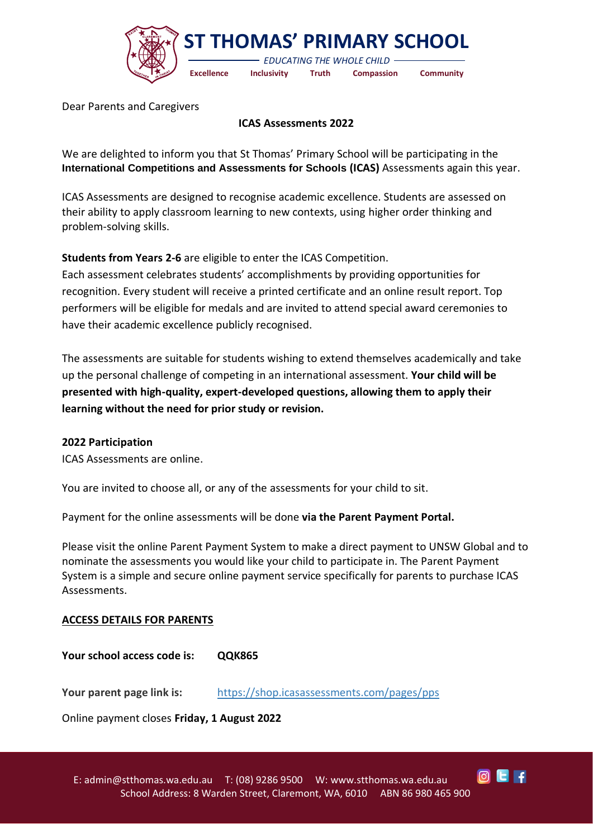

Dear Parents and Caregivers

## **ICAS Assessments 2022**

We are delighted to inform you that St Thomas' Primary School will be participating in the **International Competitions and Assessments for Schools (ICAS)** Assessments again this year.

ICAS Assessments are designed to recognise academic excellence. Students are assessed on their ability to apply classroom learning to new contexts, using higher order thinking and problem-solving skills.

**Students from Years 2-6** are eligible to enter the ICAS Competition.

Each assessment celebrates students' accomplishments by providing opportunities for recognition. Every student will receive a printed certificate and an online result report. Top performers will be eligible for medals and are invited to attend special award ceremonies to have their academic excellence publicly recognised.

The assessments are suitable for students wishing to extend themselves academically and take up the personal challenge of competing in an international assessment. **Your child will be presented with high-quality, expert-developed questions, allowing them to apply their learning without the need for prior study or revision.**

## **2022 Participation**

ICAS Assessments are online.

You are invited to choose all, or any of the assessments for your child to sit.

Payment for the online assessments will be done **via the Parent Payment Portal.**

Please visit the online Parent Payment System to make a direct payment to UNSW Global and to nominate the assessments you would like your child to participate in. The Parent Payment System is a simple and secure online payment service specifically for parents to purchase ICAS Assessments.

## **ACCESS DETAILS FOR PARENTS**

**Your school access code is: QQK865**

**Your parent page link is:** <https://shop.icasassessments.com/pages/pps>

Online payment closes **Friday, 1 August 2022**